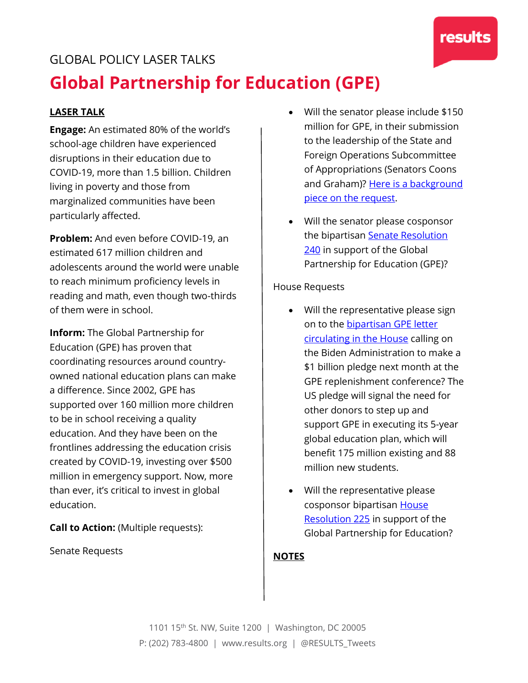## GLOBAL POLICY LASER TALKS

# **Global Partnership for Education (GPE)**

#### **LASER TALK**

**Engage:** An estimated 80% of the world's school-age children have experienced disruptions in their education due to COVID-19, more than 1.5 billion. Children living in poverty and those from marginalized communities have been particularly affected.

**Problem:** And even before COVID-19, an estimated 617 million children and adolescents around the world were unable to reach minimum proficiency levels in reading and math, even though two-thirds of them were in school.

**Inform:** The Global Partnership for Education (GPE) has proven that coordinating resources around countryowned national education plans can make a difference. Since 2002, GPE has supported over 160 million more children to be in school receiving a quality education. And they have been on the frontlines addressing the education crisis created by COVID-19, investing over \$500 million in emergency support. Now, more than ever, it's critical to invest in global education.

**Call to Action:** (Multiple requests):

Senate Requests

• Will the senator please include \$150 million for GPE, in their submission to the leadership of the State and Foreign Operations Subcommittee of Appropriations (Senators Coons and Graham)? [Here is a background](https://results.org/wp-content/uploads/FY22-Global-Partnership-for-Education-Appropriations-Memo.pdf)  [piece on the request.](https://results.org/wp-content/uploads/FY22-Global-Partnership-for-Education-Appropriations-Memo.pdf)

results

• Will the senator please cosponsor the bipartisan [Senate Resolution](https://results.org/wp-content/uploads/2021-IC_SRes240_Global-Partnership-for-Education.pdf)  [240](https://results.org/wp-content/uploads/2021-IC_SRes240_Global-Partnership-for-Education.pdf) in support of the Global Partnership for Education (GPE)?

#### House Requests

- Will the representative please sign on to the **bipartisan GPE** letter [circulating in the House](https://results.org/wp-content/uploads/2021-IC_Kilmer-Fitzpatrick-GPE-Letter-to-Administration.pdf) calling on the Biden Administration to make a \$1 billion pledge next month at the GPE replenishment conference? The US pledge will signal the need for other donors to step up and support GPE in executing its 5-year global education plan, which will benefit 175 million existing and 88 million new students.
- Will the representative please cosponsor bipartisan [House](https://results.org/wp-content/uploads/2021-IC_HRes225_Global-Partnership-for-Education.pdf)  [Resolution 225](https://results.org/wp-content/uploads/2021-IC_HRes225_Global-Partnership-for-Education.pdf) in support of the Global Partnership for Education?

#### **NOTES**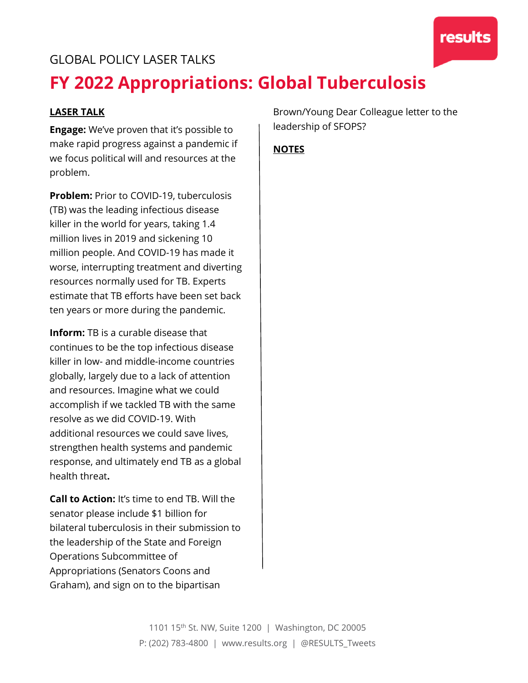

### GLOBAL POLICY LASER TALKS

# **FY 2022 Appropriations: Global Tuberculosis**

#### **LASER TALK**

**Engage:** We've proven that it's possible to make rapid progress against a pandemic if we focus political will and resources at the problem.

**Problem:** Prior to COVID-19, tuberculosis (TB) was the leading infectious disease killer in the world for years, taking 1.4 million lives in 2019 and sickening 10 million people. And COVID-19 has made it worse, interrupting treatment and diverting resources normally used for TB. Experts estimate that TB efforts have been set back ten years or more during the pandemic.

**Inform:** TB is a curable disease that continues to be the top infectious disease killer in low- and middle-income countries globally, largely due to a lack of attention and resources. Imagine what we could accomplish if we tackled TB with the same resolve as we did COVID-19. With additional resources we could save lives, strengthen health systems and pandemic response, and ultimately end TB as a global health threat**.**

**Call to Action:** It's time to end TB. Will the senator please include \$1 billion for bilateral tuberculosis in their submission to the leadership of the State and Foreign Operations Subcommittee of Appropriations (Senators Coons and Graham), and sign on to the bipartisan

Brown/Young Dear Colleague letter to the leadership of SFOPS?

### **NOTES**